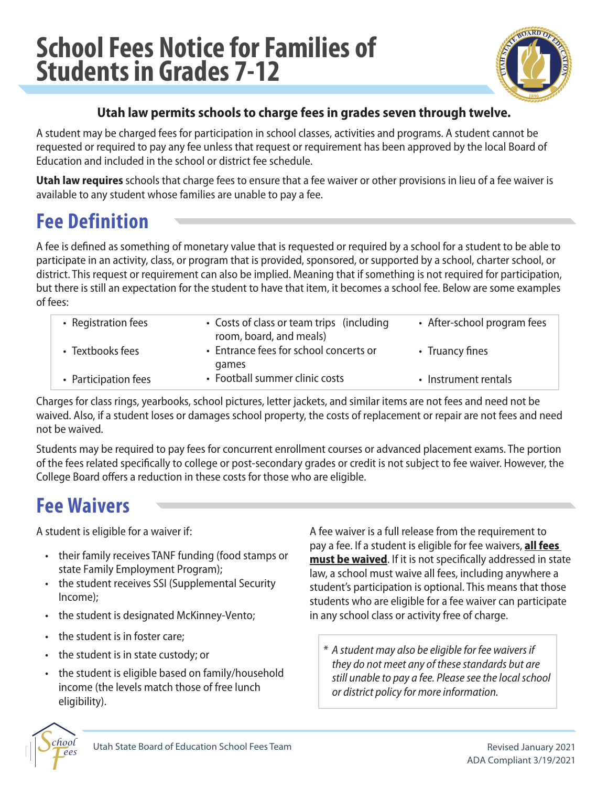# **School Fees Notice for Families of Students in Grades 7-12**



#### **Utah law permits schools to charge fees in grades seven through twelve.**

A student may be charged fees for participation in school classes, activities and programs. A student cannot be requested or required to pay any fee unless that request or requirement has been approved by the local Board of Education and included in the school or district fee schedule.

**Utah law requires** schools that charge fees to ensure that a fee waiver or other provisions in lieu of a fee waiver is available to any student whose families are unable to pay a fee.

# **Fee Definition**

A fee is defined as something of monetary value that is requested or required by a school for a student to be able to participate in an activity, class, or program that is provided, sponsored, or supported by a school, charter school, or district. This request or requirement can also be implied. Meaning that if something is not required for participation, but there is still an expectation for the student to have that item, it becomes a school fee. Below are some examples of fees:

| • Registration fees  | • Costs of class or team trips (including<br>room, board, and meals) | • After-school program fees |
|----------------------|----------------------------------------------------------------------|-----------------------------|
| • Textbooks fees     | • Entrance fees for school concerts or<br>games                      | • Truancy fines             |
| • Participation fees | • Football summer clinic costs                                       | • Instrument rentals        |

Charges for class rings, yearbooks, school pictures, letter jackets, and similar items are not fees and need not be waived. Also, if a student loses or damages school property, the costs of replacement or repair are not fees and need not be waived.

Students may be required to pay fees for concurrent enrollment courses or advanced placement exams. The portion of the fees related specifically to college or post-secondary grades or credit is not subject to fee waiver. However, the College Board offers a reduction in these costs for those who are eligible.

## **Fee Waivers**

A student is eligible for a waiver if:

- their family receives TANF funding (food stamps or state Family Employment Program);
- the student receives SSI (Supplemental Security Income);
- the student is designated McKinney-Vento;
- the student is in foster care;
- the student is in state custody; or
- the student is eligible based on family/household income (the levels match those of free lunch eligibility).

A fee waiver is a full release from the requirement to pay a fee. If a student is eligible for fee waivers, **all fees must be waived**. If it is not specifically addressed in state law, a school must waive all fees, including anywhere a student's participation is optional. This means that those students who are eligible for a fee waiver can participate in any school class or activity free of charge.

*\* A student may also be eligible for fee waivers if they do not meet any of these standards but are still unable to pay a fee. Please see the local school or district policy for more information.*